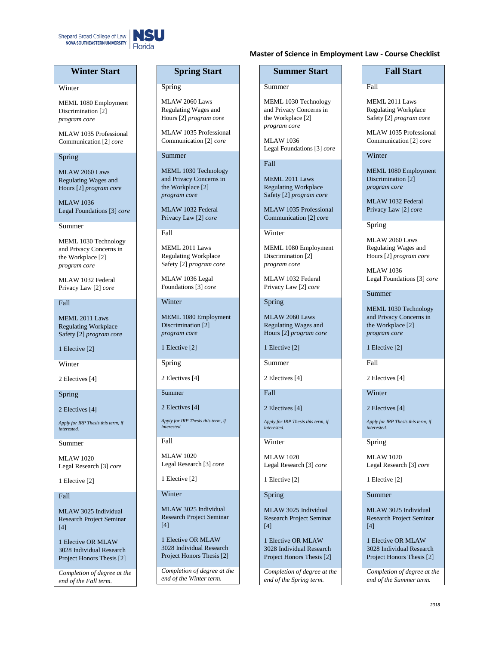

# **Winter Start**

### Winter

MEML 1080 Employment Discrimination [2] *program core*

MLAW 1035 Professional Communication [2] *core*

### Spring

MLAW 2060 Laws Regulating Wages and Hours [2] *program core*

MLAW 1036 Legal Foundations [3] *core*

Summer

MEML 1030 Technology and Privacy Concerns in the Workplace [2] *program core*

MLAW 1032 Federal Privacy Law [2] *core*

### Fall

MEML 2011 Laws Regulating Workplace Safety [2] *program core*

1 Elective [2]

**Winter** 

2 Electives [4]

Spring

2 Electives [4]

*Apply for IRP Thesis this term, if interested.*

Summer

MLAW 1020 Legal Research [3] *core*

1 Elective [2]

# Fall

MLAW 3025 Individual Research Project Seminar  $[4]$ 

1 Elective OR MLAW 3028 Individual Research Project Honors Thesis [2]

*Completion of degree at the end of the Fall term.*

# **Spring Start**

### Spring

MLAW 2060 Laws Regulating Wages and Hours [2] *program core*

MLAW 1035 Professional Communication [2] *core*

## Summer

MEML 1030 Technology and Privacy Concerns in the Workplace [2] *program core*

MLAW 1032 Federal Privacy Law [2] *core*

Fall

MEML 2011 Laws Regulating Workplace Safety [2] *program core*

MLAW 1036 Legal Foundations [3] *core*

# Winter

MEML 1080 Employment Discrimination [2] *program core*

1 Elective [2]

Spring

2 Electives [4]

Summer

Fall

2 Electives [4]

*Apply for IRP Thesis this term, if interested.*

MLAW 1020 Legal Research [3] *core*

1 Elective [2]

Winter

MLAW 3025 Individual Research Project Seminar [4]

1 Elective OR MLAW 3028 Individual Research Project Honors Thesis [2]

*Completion of degree at the end of the Winter term.*

# **Master of Science in Employment Law - Course Checklist**

# **Summer Start**

## Summer

MEML 1030 Technology and Privacy Concerns in the Workplace [2] *program core*

MLAW 1036 Legal Foundations [3] *core*

## Fall

MEML 2011 Laws Regulating Workplace Safety [2] *program core*

MLAW 1035 Professional Communication [2] *core*

**Winter** 

MEML 1080 Employment Discrimination [2] *program core*

MLAW 1032 Federal Privacy Law [2] *core*

Spring

MLAW 2060 Laws Regulating Wages and Hours [2] *program core*

1 Elective [2]

Summer

2 Electives [4]

Fall

2 Electives [4]

*Apply for IRP Thesis this term, if interested.*

Winter

MLAW 1020 Legal Research [3] *core*

1 Elective [2]

Spring

MLAW 3025 Individual Research Project Seminar  $[4]$ 

1 Elective OR MLAW 3028 Individual Research Project Honors Thesis [2]

*Completion of degree at the end of the Spring term.*

# **Fall Start**

Fall

MEML 2011 Laws Regulating Workplace Safety [2] *program core*

MLAW 1035 Professional Communication [2] *core*

### Winter

MEML 1080 Employment Discrimination [2] *program core*

MLAW 1032 Federal Privacy Law [2] *core*

Spring

MLAW 2060 Laws Regulating Wages and Hours [2] *program core*

MLAW 1036 Legal Foundations [3] *core*

Summer

MEML 1030 Technology and Privacy Concerns in the Workplace [2] *program core*

1 Elective [2]

Fall

2 Electives [4]

Winter

2 Electives [4]

*Apply for IRP Thesis this term, if interested.*

Spring

MLAW 1020 Legal Research [3] *core*

1 Elective [2]

Summer

MLAW 3025 Individual Research Project Seminar  $[4]$ 

1 Elective OR MLAW 3028 Individual Research Project Honors Thesis [2] *Completion of degree at the end of the Summer term.*

*2018*